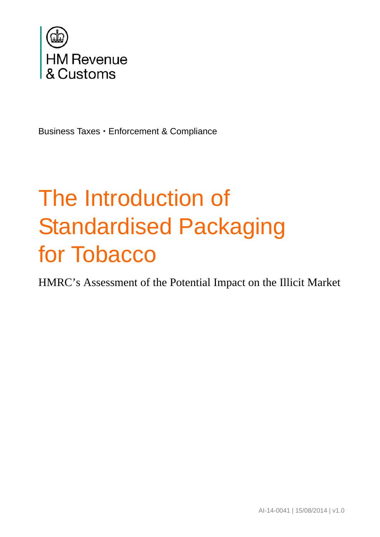

Business Taxes · Enforcement & Compliance

# The Introduction of Standardised Packaging for Tobacco

HMRC's Assessment of the Potential Impact on the Illicit Market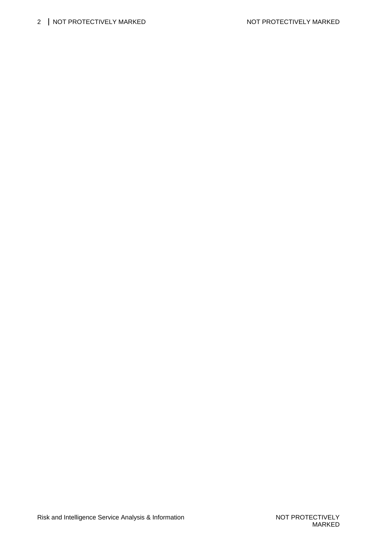## 2 | NOT PROTECTIVELY MARKED NOT PROTECTIVELY MARKED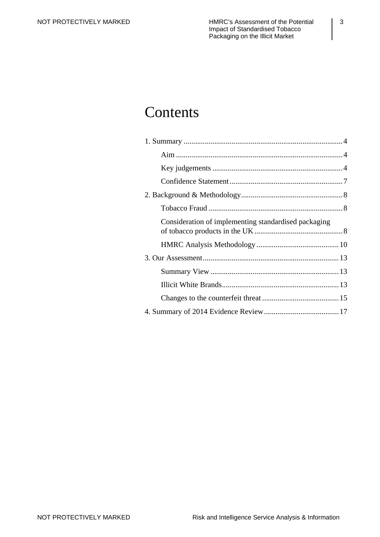# **Contents**

| Consideration of implementing standardised packaging |
|------------------------------------------------------|
|                                                      |
|                                                      |
|                                                      |
|                                                      |
|                                                      |
|                                                      |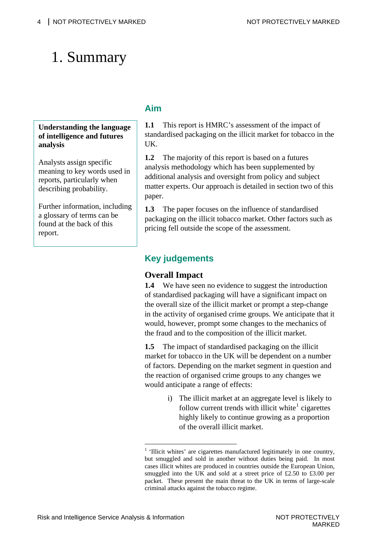# <span id="page-3-0"></span>1. Summary

# <span id="page-3-1"></span>**Understanding the language of intelligence and futures**

Analysts assign specific meaning to key words used in reports, particularly when describing probability.

**analysis** 

<span id="page-3-2"></span>Further information, including a glossary of terms can be found at the back of this report.

#### **Aim**

**1.1** This report is HMRC's assessment of the impact of standardised packaging on the illicit market for tobacco in the UK.

**1.2** The majority of this report is based on a futures analysis methodology which has been supplemented by additional analysis and oversight from policy and subject matter experts. Our approach is detailed in section two of this paper.

**1.3** The paper focuses on the influence of standardised packaging on the illicit tobacco market. Other factors such as pricing fell outside the scope of the assessment.

# **Key judgements**

#### **Overall Impact**

**1.4** We have seen no evidence to suggest the introduction of standardised packaging will have a significant impact on the overall size of the illicit market or prompt a step-change in the activity of organised crime groups. We anticipate that it would, however, prompt some changes to the mechanics of the fraud and to the composition of the illicit market.

**1.5** The impact of standardised packaging on the illicit market for tobacco in the UK will be dependent on a number of factors. Depending on the market segment in question and the reaction of organised crime groups to any changes we would anticipate a range of effects:

> i) The illicit market at an aggregate level is likely to follow current trends with illicit white $\frac{1}{1}$  $\frac{1}{1}$  $\frac{1}{1}$  cigarettes highly likely to continue growing as a proportion of the overall illicit market.

<span id="page-3-3"></span><sup>&</sup>lt;sup>1</sup> 'Illicit whites' are cigarettes manufactured legitimately in one country, but smuggled and sold in another without duties being paid. In most cases illicit whites are produced in countries outside the European Union, smuggled into the UK and sold at a street price of £2.50 to £3.00 per packet. These present the main threat to the UK in terms of large-scale criminal attacks against the tobacco regime.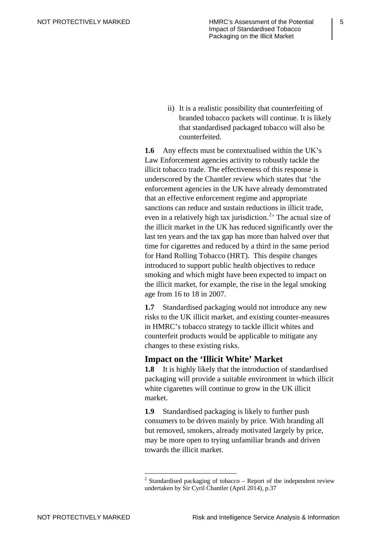ii) It is a realistic possibility that counterfeiting of branded tobacco packets will continue. It is likely that standardised packaged tobacco will also be counterfeited.

**1.6** Any effects must be contextualised within the UK's Law Enforcement agencies activity to robustly tackle the illicit tobacco trade. The effectiveness of this response is underscored by the Chantler review which states that 'the enforcement agencies in the UK have already demonstrated that an effective enforcement regime and appropriate sanctions can reduce and sustain reductions in illicit trade, even in a relatively high tax jurisdiction.<sup>[2](#page-4-0)</sup> The actual size of the illicit market in the UK has reduced significantly over the last ten years and the tax gap has more than halved over that time for cigarettes and reduced by a third in the same period for Hand Rolling Tobacco (HRT). This despite changes introduced to support public health objectives to reduce smoking and which might have been expected to impact on the illicit market, for example, the rise in the legal smoking age from 16 to 18 in 2007.

**1.7** Standardised packaging would not introduce any new risks to the UK illicit market, and existing counter-measures in HMRC's tobacco strategy to tackle illicit whites and counterfeit products would be applicable to mitigate any changes to these existing risks.

#### **Impact on the 'Illicit White' Market**

**1.8** It is highly likely that the introduction of standardised packaging will provide a suitable environment in which illicit white cigarettes will continue to grow in the UK illicit market.

**1.9** Standardised packaging is likely to further push consumers to be driven mainly by price. With branding all but removed, smokers, already motivated largely by price, may be more open to trying unfamiliar brands and driven towards the illicit market.

<span id="page-4-0"></span> $2$  Standardised packaging of tobacco – Report of the independent review undertaken by Sir Cyril Chantler (April 2014), p.37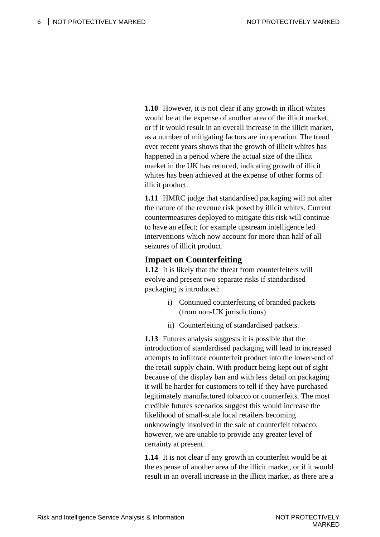**1.10** However, it is not clear if any growth in illicit whites would be at the expense of another area of the illicit market, or if it would result in an overall increase in the illicit market, as a number of mitigating factors are in operation. The trend over recent years shows that the growth of illicit whites has happened in a period where the actual size of the illicit market in the UK has reduced, indicating growth of illicit whites has been achieved at the expense of other forms of illicit product.

**1.11** HMRC judge that standardised packaging will not alter the nature of the revenue risk posed by illicit whites. Current countermeasures deployed to mitigate this risk will continue to have an effect; for example upstream intelligence led interventions which now account for more than half of all seizures of illicit product.

#### **Impact on Counterfeiting**

**1.12** It is likely that the threat from counterfeiters will evolve and present two separate risks if standardised packaging is introduced:

- i) Continued counterfeiting of branded packets (from non-UK jurisdictions)
- ii) Counterfeiting of standardised packets.

**1.13** Futures analysis suggests it is possible that the introduction of standardised packaging will lead to increased attempts to infiltrate counterfeit product into the lower-end of the retail supply chain. With product being kept out of sight because of the display ban and with less detail on packaging it will be harder for customers to tell if they have purchased legitimately manufactured tobacco or counterfeits. The most credible futures scenarios suggest this would increase the likelihood of small-scale local retailers becoming unknowingly involved in the sale of counterfeit tobacco; however, we are unable to provide any greater level of certainty at present.

**1.14** It is not clear if any growth in counterfeit would be at the expense of another area of the illicit market, or if it would result in an overall increase in the illicit market, as there are a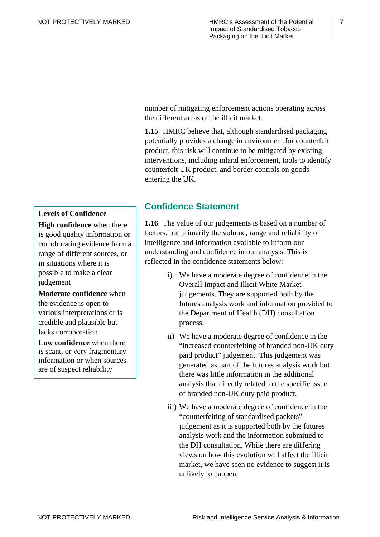number of mitigating enforcement actions operating across the different areas of the illicit market.

**1.15** HMRC believe that, although standardised packaging potentially provides a change in environment for counterfeit product, this risk will continue to be mitigated by existing interventions, including inland enforcement, tools to identify counterfeit UK product, and border controls on goods entering the UK.

#### **Confidence Statement**

**1.16** The value of our judgements is based on a number of factors, but primarily the volume, range and reliability of intelligence and information available to inform our understanding and confidence in our analysis. This is reflected in the confidence statements below:

- i) We have a moderate degree of confidence in the Overall Impact and Illicit White Market judgements. They are supported both by the futures analysis work and information provided to the Department of Health (DH) consultation process.
- ii) We have a moderate degree of confidence in the "increased counterfeiting of branded non-UK duty paid product" judgement. This judgement was generated as part of the futures analysis work but there was little information in the additional analysis that directly related to the specific issue of branded non-UK duty paid product.
- iii) We have a moderate degree of confidence in the "counterfeiting of standardised packets" judgement as it is supported both by the futures analysis work and the information submitted to the DH consultation. While there are differing views on how this evolution will affect the illicit market, we have seen no evidence to suggest it is unlikely to happen.

#### <span id="page-6-0"></span>**Levels of Confidence**

**High confidence** when there is good quality information or corroborating evidence from a range of different sources, or in situations where it is possible to make a clear judgement

**Moderate confidence** when the evidence is open to various interpretations or is credible and plausible but lacks corroboration

**Low confidence** when there is scant, or very fragmentary information or when sources are of suspect reliability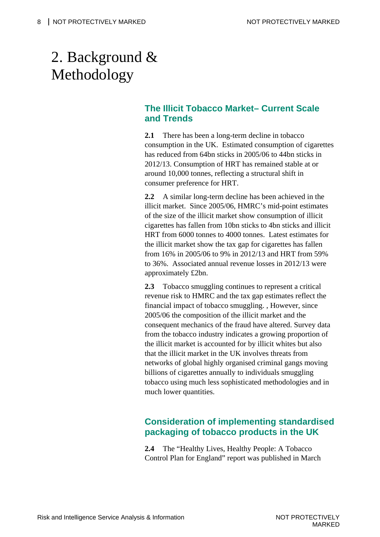# <span id="page-7-1"></span><span id="page-7-0"></span>2. Background & Methodology

### **The Illicit Tobacco Market– Current Scale and Trends**

**2.1** There has been a long-term decline in tobacco consumption in the UK. Estimated consumption of cigarettes has reduced from 64bn sticks in 2005/06 to 44bn sticks in 2012/13. Consumption of HRT has remained stable at or around 10,000 tonnes, reflecting a structural shift in consumer preference for HRT.

**2.2** A similar long-term decline has been achieved in the illicit market. Since 2005/06, HMRC's mid-point estimates of the size of the illicit market show consumption of illicit cigarettes has fallen from 10bn sticks to 4bn sticks and illicit HRT from 6000 tonnes to 4000 tonnes. Latest estimates for the illicit market show the tax gap for cigarettes has fallen from 16% in 2005/06 to 9% in 2012/13 and HRT from 59% to 36%. Associated annual revenue losses in 2012/13 were approximately £2bn.

**2.3** Tobacco smuggling continues to represent a critical revenue risk to HMRC and the tax gap estimates reflect the financial impact of tobacco smuggling. , However, since 2005/06 the composition of the illicit market and the consequent mechanics of the fraud have altered. Survey data from the tobacco industry indicates a growing proportion of the illicit market is accounted for by illicit whites but also that the illicit market in the UK involves threats from networks of global highly organised criminal gangs moving billions of cigarettes annually to individuals smuggling tobacco using much less sophisticated methodologies and in much lower quantities.

# <span id="page-7-2"></span>**Consideration of implementing standardised packaging of tobacco products in the UK**

**2.4** The "Healthy Lives, Healthy People: A Tobacco Control Plan for England" report was published in March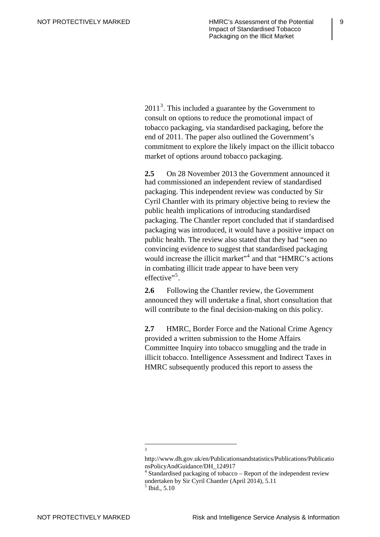$2011<sup>3</sup>$ . This included a guarantee by the Government to consult on options to reduce the promotional impact of tobacco packaging, via standardised packaging, before the end of 2011. The paper also outlined the Government's commitment to explore the likely impact on the illicit tobacco market of options around tobacco packaging.

**2.5** On 28 November 2013 the Government announced it had commissioned an independent review of standardised packaging. This independent review was conducted by Sir Cyril Chantler with its primary objective being to review the public health implications of introducing standardised packaging. The Chantler report concluded that if standardised packaging was introduced, it would have a positive impact on public health. The review also stated that they had "seen no convincing evidence to suggest that standardised packaging would increase the illicit market"<sup>4</sup> and that "HMRC's actions in combating illicit trade appear to have been very effective"<sup>5</sup>.

**2.6** Following the Chantler review, the Government announced they will undertake a final, short consultation that will contribute to the final decision-making on this policy.

**2.7** HMRC, Border Force and [t](#page-8-0)he National Crime Agency provided [a](#page-8-1) written submission to the Home Affairs Committee Inquiry into tobacco smuggling and the trade in illicit tobacco. Intelligence Assessment and Indirect Taxes in HMRC subsequently produced this report to assess the

 $\frac{1}{3}$ 

http://www.dh.gov.uk/en/Publicationsandstatistics/Publications/Publicatio nsPolicyAndGuidance/DH\_124917

<span id="page-8-0"></span><sup>&</sup>lt;sup>4</sup> Standardised packaging of tobacco – Report of the independent review undertaken by Sir Cyril Chantler (April 2014), 5.11

<span id="page-8-1"></span><sup>5</sup> Ibid., 5.10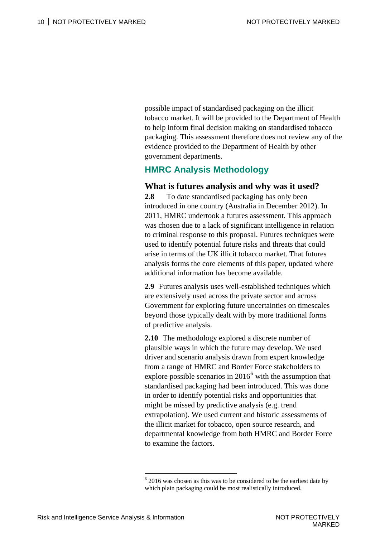possible impact of standardised packaging on the illicit tobacco market. It will be provided to the Department of Health to help inform final decision making on standardised tobacco packaging. This assessment therefore does not review any of the evidence provided to the Department of Health by other government departments.

### <span id="page-9-0"></span>**HMRC Analysis Methodology**

#### **What is futures analysis and why was it used?**

**2.8** To date standardised packaging has only been introduced in one country (Australia in December 2012). In 2011, HMRC undertook a futures assessment. This approach was chosen due to a lack of significant intelligence in relation to criminal response to this proposal. Futures techniques were used to identify potential future risks and threats that could arise in terms of the UK illicit tobacco market. That futures analysis forms the core elements of this paper, updated where additional information has become available.

**2.9** Futures analysis uses well-established techniques which are extensively used across the private sector and across Government for exploring future uncertainties on timescales beyond those typically dealt with by more traditional forms of predictive analysis.

**2.10** The methodology explored a discrete number of plausible ways in which the future may develop. We used driver and scenario analysis drawn from expert knowledge from a range of HMRC and Border Force stakeholders to explore possible scenarios in  $2016^6$  $2016^6$  $2016^6$  with the assumption that standardised packaging had been introduced. This was done in order to identify potential risks and opportunities that might be missed by predictive analysis (e.g. trend extrapolation). We used current and historic assessments of the illicit market for tobacco, open source research, and departmental knowledge from both HMRC and Border Force to examine the factors.

<span id="page-9-1"></span> $62016$  was chosen as this was to be considered to be the earliest date by which plain packaging could be most realistically introduced.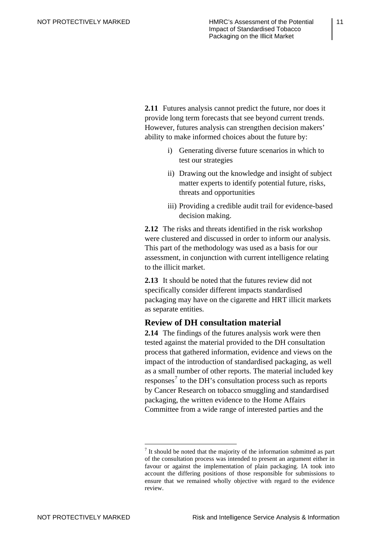**2.11** Futures analysis cannot predict the future, nor does it provide long term forecasts that see beyond current trends. However, futures analysis can strengthen decision makers' ability to make informed choices about the future by:

- i) Generating diverse future scenarios in which to test our strategies
- ii) Drawing out the knowledge and insight of subject matter experts to identify potential future, risks, threats and opportunities
- iii) Providing a credible audit trail for evidence-based decision making.

**2.12** The risks and threats identified in the risk workshop were clustered and discussed in order to inform our analysis. This part of the methodology was used as a basis for our assessment, in conjunction with current intelligence relating to the illicit market.

**2.13** It should be noted that the futures review did not specifically consider different impacts standardised packaging may have on the cigarette and HRT illicit markets as separate entities.

#### **Review of DH consultation material**

**2.14** The findings of the futures analysis work were then tested against the material provided to the DH consultation process that gathered information, evidence and views on the impact of the introduction of standardised packaging, as well as a small number of other reports. The material included key responses<sup>[7](#page-10-0)</sup> to the DH's consultation process such as reports by Cancer Research on tobacco smuggling and standardised packaging, the written evidence to the Home Affairs Committee from a wide range of interested parties and the

<span id="page-10-0"></span> $<sup>7</sup>$  It should be noted that the majority of the information submitted as part</sup> of the consultation process was intended to present an argument either in favour or against the implementation of plain packaging. IA took into account the differing positions of those responsible for submissions to ensure that we remained wholly objective with regard to the evidence review.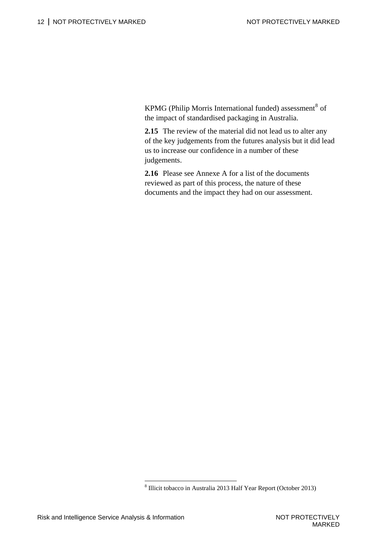KPMG (Philip Morris International funded) assessment<sup>8</sup> of the impact of standardised packaging in Australia.

**2.15** The review of the material did not lead us to alter any of the key judgements from the futures analysis but it did lead us to increase our confidence in a number of these judgements.

**2.16** Please see Annexe A for a list of the documents reviewed as part of this process, the nature of these documents and the impact they had on our assessment.

<sup>8</sup> Illicit tobacco in Australia 2013 Half Year Report (October 2013)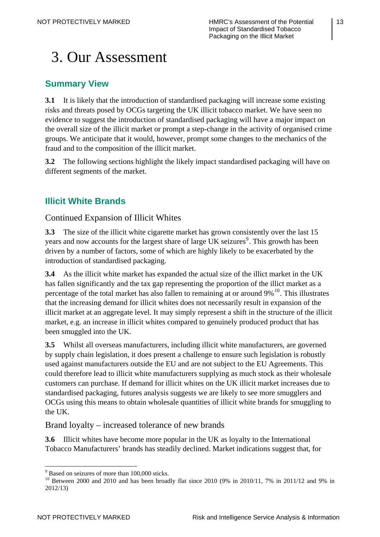# <span id="page-12-0"></span>3. Our Assessment

### <span id="page-12-1"></span>**Summary View**

**3.1** It is likely that the introduction of standardised packaging will increase some existing risks and threats posed by OCGs targeting the UK illicit tobacco market. We have seen no evidence to suggest the introduction of standardised packaging will have a major impact on the overall size of the illicit market or prompt a step-change in the activity of organised crime groups. We anticipate that it would, however, prompt some changes to the mechanics of the fraud and to the composition of the illicit market.

**3.2** The following sections highlight the likely impact standardised packaging will have on different segments of the market.

## <span id="page-12-2"></span>**Illicit White Brands**

#### Continued Expansion of Illicit Whites

**3.3** The size of the illicit white cigarette market has grown consistently over the last 15 years and now accounts for the largest share of large UK seizures<sup>[9](#page-12-3)</sup>. This growth has been driven by a number of factors, some of which are highly likely to be exacerbated by the introduction of standardised packaging.

**3.4** As the illicit white market has expanded the actual size of the illict market in the UK has fallen significantly and the tax gap representing the proportion of the illict market as a percentage of the total market has also fallen to remaining at or around  $9\%$ <sup>[10](#page-12-4)</sup>. This illustrates that the increasing demand for illicit whites does not necessarily result in expansion of the illicit market at an aggregate level. It may simply represent a shift in the structure of the illicit market, e.g. an increase in illicit whites compared to genuinely produced product that has been smuggled into the UK.

**3.5** Whilst all overseas manufacturers, including illicit white manufacturers, are governed by supply chain legislation, it does present a challenge to ensure such legislation is robustly used against manufacturers outside the EU and are not subject to the EU Agreements. This could therefore lead to illicit white manufacturers supplying as much stock as their wholesale customers can purchase. If demand for illicit whites on the UK illicit market increases due to standardised packaging, futures analysis suggests we are likely to see more smugglers and OCGs using this means to obtain wholesale quantities of illicit white brands for smuggling to the UK.

Brand loyalty – increased tolerance of new brands

**3.6** Illicit whites have become more popular in the UK as loyalty to the International Tobacco Manufacturers' brands has steadily declined. Market indications suggest that, for

<sup>9</sup> Based on seizures of more than 100,000 sticks.

<span id="page-12-4"></span><span id="page-12-3"></span> $10$  Between 2000 and 2010 and has been broadly flat since 2010 (9% in 2010/11, 7% in 2011/12 and 9% in 2012/13)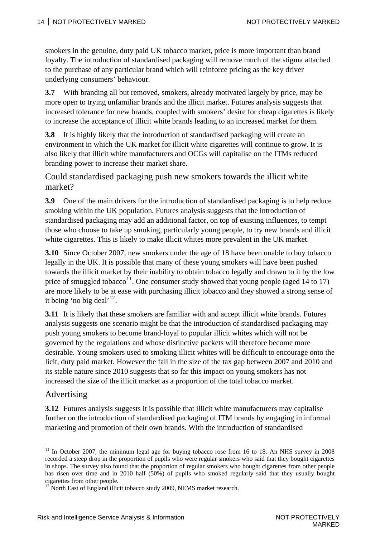smokers in the genuine, duty paid UK tobacco market, price is more important than brand loyalty. The introduction of standardised packaging will remove much of the stigma attached to the purchase of any particular brand which will reinforce pricing as the key driver underlying consumers' behaviour.

**3.7** With branding all but removed, smokers, already motivated largely by price, may be more open to trying unfamiliar brands and the illicit market. Futures analysis suggests that increased tolerance for new brands, coupled with smokers' desire for cheap cigarettes is likely to increase the acceptance of illicit white brands leading to an increased market for them.

**3.8** It is highly likely that the introduction of standardised packaging will create an environment in which the UK market for illicit white cigarettes will continue to grow. It is also likely that illicit white manufacturers and OCGs will capitalise on the ITMs reduced branding power to increase their market share.

Could standardised packaging push new smokers towards the illicit white market?

**3.9** One of the main drivers for the introduction of standardised packaging is to help reduce smoking within the UK population. Futures analysis suggests that the introduction of standardised packaging may add an additional factor, on top of existing influences, to tempt those who choose to take up smoking, particularly young people, to try new brands and illicit white cigarettes. This is likely to make illicit whites more prevalent in the UK market.

**3.10** Since October 2007, new smokers under the age of 18 have been unable to buy tobacco legally in the UK. It is possible that many of these young smokers will have been pushed towards the illicit market by their inability to obtain tobacco legally and drawn to it by the low price of smuggled tobacco<sup>[11](#page-13-0)</sup>. One consumer study showed that young people (aged 14 to 17) are more likely to be at ease with purchasing illicit tobacco and they showed a strong sense of it being 'no big deal'<sup>[12](#page-13-1)</sup>.

**3.11** It is likely that these smokers are familiar with and accept illicit white brands. Futures analysis suggests one scenario might be that the introduction of standardised packaging may push young smokers to become brand-loyal to popular illicit whites which will not be governed by the regulations and whose distinctive packets will therefore become more desirable. Young smokers used to smoking illicit whites will be difficult to encourage onto the licit, duty paid market. However the fall in the size of the tax gap between 2007 and 2010 and its stable nature since 2010 suggests that so far this impact on young smokers has not increased the size of the illicit market as a proportion of the total tobacco market.

#### Advertising

1

**3.12** Futures analysis suggests it is possible that illicit white manufacturers may capitalise further on the introduction of standardised packaging of ITM brands by engaging in informal marketing and promotion of their own brands. With the introduction of standardised

<span id="page-13-0"></span><sup>&</sup>lt;sup>11</sup> In October 2007, the minimum legal age for buying tobacco rose from 16 to 18. An NHS survey in 2008 recorded a steep drop in the proportion of pupils who were regular smokers who said that they bought cigarettes in shops. The survey also found that the proportion of regular smokers who bought cigarettes from other people has risen over time and in 2010 half (50%) of pupils who smoked regularly said that they usually bought cigarettes from other people.

<span id="page-13-1"></span> $12$  North East of England illicit tobacco study 2009, NEMS market research.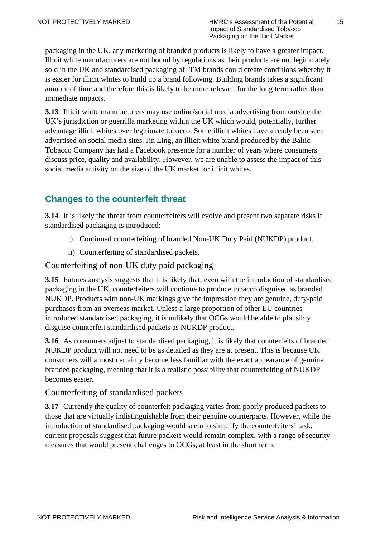packaging in the UK, any marketing of branded products is likely to have a greater impact. Illicit white manufacturers are not bound by regulations as their products are not legitimately sold in the UK and standardised packaging of ITM brands could create conditions whereby it is easier for illicit whites to build up a brand following. Building brands takes a significant amount of time and therefore this is likely to be more relevant for the long term rather than immediate impacts.

**3.13** Illicit white manufacturers may use online/social media advertising from outside the UK's jurisdiction or guerrilla marketing within the UK which would, potentially, further advantage illicit whites over legitimate tobacco. Some illicit whites have already been seen advertised on social media sites. Jin Ling, an illicit white brand produced by the Baltic Tobacco Company has had a Facebook presence for a number of years where consumers discuss price, quality and availability. However, we are unable to assess the impact of this social media activity on the size of the UK market for illicit whites.

# <span id="page-14-0"></span>**Changes to the counterfeit threat**

**3.14** It is likely the threat from counterfeiters will evolve and present two separate risks if standardised packaging is introduced:

- i) Continued counterfeiting of branded Non-UK Duty Paid (NUKDP) product.
- ii) Counterfeiting of standardised packets.

#### Counterfeiting of non-UK duty paid packaging

**3.15** Futures analysis suggests that it is likely that, even with the introduction of standardised packaging in the UK, counterfeiters will continue to produce tobacco disguised as branded NUKDP. Products with non-UK markings give the impression they are genuine, duty-paid purchases from an overseas market. Unless a large proportion of other EU countries introduced standardised packaging, it is unlikely that OCGs would be able to plausibly disguise counterfeit standardised packets as NUKDP product.

**3.16** As consumers adjust to standardised packaging, it is likely that counterfeits of branded NUKDP product will not need to be as detailed as they are at present. This is because UK consumers will almost certainly become less familiar with the exact appearance of genuine branded packaging, meaning that it is a realistic possibility that counterfeiting of NUKDP becomes easier.

#### Counterfeiting of standardised packets

**3.17** Currently the quality of counterfeit packaging varies from poorly produced packets to those that are virtually indistinguishable from their genuine counterparts. However, while the introduction of standardised packaging would seem to simplify the counterfeiters' task, current proposals suggest that future packets would remain complex, with a range of security measures that would present challenges to OCGs, at least in the short term.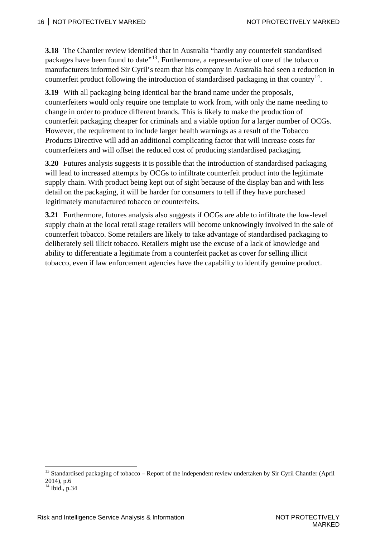**3.18** The Chantler review identified that in Australia "hardly any counterfeit standardised packages have been found to date"<sup>[13](#page-15-0)</sup>. Furthermore, a representative of one of the tobacco manufacturers informed Sir Cyril's team that his company in Australia had seen a reduction in counterfeit product following the introduction of standardised packaging in that country<sup>[14](#page-15-1)</sup>.

**3.19** With all packaging being identical bar the brand name under the proposals, counterfeiters would only require one template to work from, with only the name needing to change in order to produce different brands. This is likely to make the production of counterfeit packaging cheaper for criminals and a viable option for a larger number of OCGs. However, the requirement to include larger health warnings as a result of the Tobacco Products Directive will add an additional complicating factor that will increase costs for counterfeiters and will offset the reduced cost of producing standardised packaging.

**3.20** Futures analysis suggests it is possible that the introduction of standardised packaging will lead to increased attempts by OCGs to infiltrate counterfeit product into the legitimate supply chain. With product being kept out of sight because of the display ban and with less detail on the packaging, it will be harder for consumers to tell if they have purchased legitimately manufactured tobacco or counterfeits.

**3.21** Furthermore, futures analysis also suggests if OCGs are able to infiltrate the low-level supply chain at the local retail stage retailers will become unknowingly involved in the sale of counterfeit tobacco. Some retailers are likely to take advantage of standardised packaging to deliberately sell illicit tobacco. Retailers might use the excuse of a lack of knowledge and ability to differentiate a legitimate from a counterfeit packet as cover for selling illicit tobacco, even if law enforcement agencies have the capability to identify genuine product.

<span id="page-15-0"></span><sup>&</sup>lt;sup>13</sup> Standardised packaging of tobacco – Report of the independent review undertaken by Sir Cyril Chantler (April 2014), p.6

<span id="page-15-1"></span> $14$  Ibid., p.34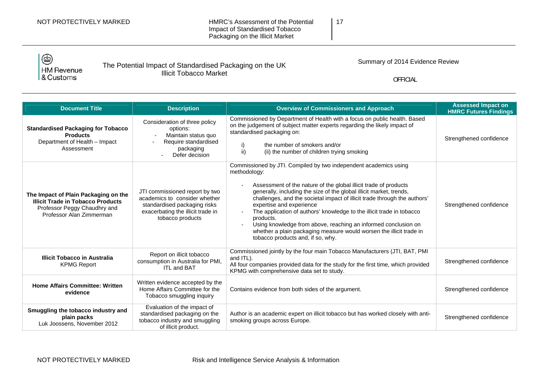

#### The Potential Impact of Standardised Packaging on the UK Illicit Tobacco Market

Summary of 2014 Evidence Review

OFFICIAL

<span id="page-16-0"></span>

| <b>Document Title</b>                                                                                                                        | <b>Description</b>                                                                                                                                       | <b>Overview of Commissioners and Approach</b>                                                                                                                                                                                                                                                                                                                                                                                                                                                                                                                                                                              | <b>Assessed Impact on</b><br><b>HMRC Futures Findings</b> |
|----------------------------------------------------------------------------------------------------------------------------------------------|----------------------------------------------------------------------------------------------------------------------------------------------------------|----------------------------------------------------------------------------------------------------------------------------------------------------------------------------------------------------------------------------------------------------------------------------------------------------------------------------------------------------------------------------------------------------------------------------------------------------------------------------------------------------------------------------------------------------------------------------------------------------------------------------|-----------------------------------------------------------|
| <b>Standardised Packaging for Tobacco</b><br><b>Products</b><br>Department of Health - Impact<br>Assessment                                  | Consideration of three policy<br>options:<br>Maintain status quo<br>Require standardised<br>packaging<br>Defer decision                                  | Commissioned by Department of Health with a focus on public health. Based<br>on the judgement of subject matter experts regarding the likely impact of<br>standardised packaging on:<br>the number of smokers and/or<br>i)<br>ii)<br>(ii) the number of children trying smoking                                                                                                                                                                                                                                                                                                                                            | Strengthened confidence                                   |
| The Impact of Plain Packaging on the<br><b>Illicit Trade in Tobacco Products</b><br>Professor Peggy Chaudhry and<br>Professor Alan Zimmerman | JTI commissioned report by two<br>academics to consider whether<br>standardised packaging risks<br>exacerbating the illicit trade in<br>tobacco products | Commissioned by JTI. Compiled by two independent academics using<br>methodology:<br>Assessment of the nature of the global illicit trade of products<br>$\blacksquare$<br>generally, including the size of the global illicit market, trends,<br>challenges, and the societal impact of illicit trade through the authors'<br>expertise and experience<br>The application of authors' knowledge to the illicit trade in tobacco<br>products.<br>Using knowledge from above, reaching an informed conclusion on<br>whether a plain packaging measure would worsen the illicit trade in<br>tobacco products and, if so, why. | Strengthened confidence                                   |
| <b>Illicit Tobacco in Australia</b><br><b>KPMG Report</b>                                                                                    | Report on illicit tobacco<br>consumption in Australia for PMI,<br><b>ITL and BAT</b>                                                                     | Commissioned jointly by the four main Tobacco Manufacturers (JTI, BAT, PMI<br>and ITL).<br>All four companies provided data for the study for the first time, which provided<br>KPMG with comprehensive data set to study.                                                                                                                                                                                                                                                                                                                                                                                                 | Strengthened confidence                                   |
| <b>Home Affairs Committee: Written</b><br>evidence                                                                                           | Written evidence accepted by the<br>Home Affairs Committee for the<br>Tobacco smuggling inquiry                                                          | Contains evidence from both sides of the argument.                                                                                                                                                                                                                                                                                                                                                                                                                                                                                                                                                                         | Strengthened confidence                                   |
| Smuggling the tobacco industry and<br>plain packs<br>Luk Joossens, November 2012                                                             | Evaluation of the impact of<br>standardised packaging on the<br>tobacco industry and smuggling<br>of illicit product.                                    | Author is an academic expert on illicit tobacco but has worked closely with anti-<br>smoking groups across Europe.                                                                                                                                                                                                                                                                                                                                                                                                                                                                                                         | Strengthened confidence                                   |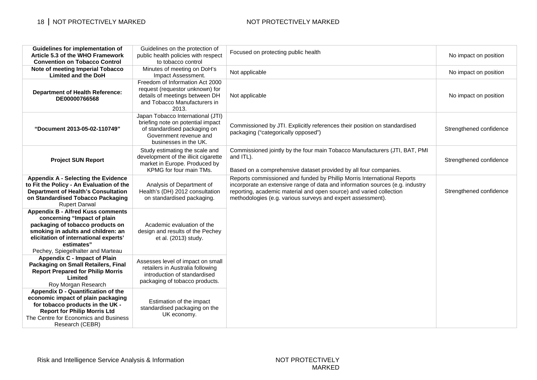| Guidelines for implementation of<br>Article 5.3 of the WHO Framework<br><b>Convention on Tobacco Control</b>                                                                                                                                  | Guidelines on the protection of<br>public health policies with respect<br>to tobacco control                                                              | Focused on protecting public health                                                                                                                                                                                                                                                            | No impact on position   |
|-----------------------------------------------------------------------------------------------------------------------------------------------------------------------------------------------------------------------------------------------|-----------------------------------------------------------------------------------------------------------------------------------------------------------|------------------------------------------------------------------------------------------------------------------------------------------------------------------------------------------------------------------------------------------------------------------------------------------------|-------------------------|
| Note of meeting Imperial Tobacco<br><b>Limited and the DoH</b>                                                                                                                                                                                | Minutes of meeting on DoH's<br>Impact Assessment.                                                                                                         | Not applicable                                                                                                                                                                                                                                                                                 | No impact on position   |
| <b>Department of Health Reference:</b><br>DE00000766568                                                                                                                                                                                       | Freedom of Information Act 2000<br>request (requestor unknown) for<br>details of meetings between DH<br>and Tobacco Manufacturers in<br>2013.             | Not applicable                                                                                                                                                                                                                                                                                 | No impact on position   |
| "Document 2013-05-02-110749"                                                                                                                                                                                                                  | Japan Tobacco International (JTI)<br>briefing note on potential impact<br>of standardised packaging on<br>Government revenue and<br>businesses in the UK. | Commissioned by JTI. Explicitly references their position on standardised<br>packaging ("categorically opposed")                                                                                                                                                                               | Strengthened confidence |
| <b>Project SUN Report</b>                                                                                                                                                                                                                     | Study estimating the scale and<br>development of the illicit cigarette<br>market in Europe. Produced by<br>KPMG for four main TMs.                        | Commissioned jointly by the four main Tobacco Manufacturers (JTI, BAT, PMI<br>and ITL).<br>Based on a comprehensive dataset provided by all four companies.                                                                                                                                    | Strengthened confidence |
| <b>Appendix A - Selecting the Evidence</b><br>to Fit the Policy - An Evaluation of the<br><b>Department of Health's Consultation</b><br>on Standardised Tobacco Packaging<br><b>Rupert Darwal</b>                                             | Analysis of Department of<br>Health's (DH) 2012 consultation<br>on standardised packaging.                                                                | Reports commissioned and funded by Phillip Morris International Reports<br>incorporate an extensive range of data and information sources (e.g. industry<br>reporting, academic material and open source) and varied collection<br>methodologies (e.g. various surveys and expert assessment). | Strengthened confidence |
| <b>Appendix B - Alfred Kuss comments</b><br>concerning "Impact of plain<br>packaging of tobacco products on<br>smoking in adults and children: an<br>elicitation of international experts'<br>estimates"<br>Pechey, Spiegelhalter and Marteau | Academic evaluation of the<br>design and results of the Pechey<br>et al. (2013) study.                                                                    |                                                                                                                                                                                                                                                                                                |                         |
| <b>Appendix C - Impact of Plain</b><br>Packaging on Small Retailers, Final<br><b>Report Prepared for Philip Morris</b><br>Limited<br>Roy Morgan Research                                                                                      | Assesses level of impact on small<br>retailers in Australia following<br>introduction of standardised<br>packaging of tobacco products.                   |                                                                                                                                                                                                                                                                                                |                         |
| Appendix D - Quantification of the<br>economic impact of plain packaging<br>for tobacco products in the UK -<br><b>Report for Philip Morris Ltd</b><br>The Centre for Economics and Business<br>Research (CEBR)                               | Estimation of the impact<br>standardised packaging on the<br>UK economy.                                                                                  |                                                                                                                                                                                                                                                                                                |                         |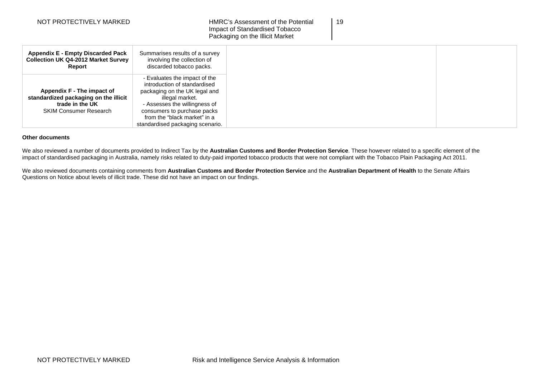19

| <b>Appendix E - Empty Discarded Pack</b><br><b>Collection UK Q4-2012 Market Survey</b><br>Report | Summarises results of a survey<br>involving the collection of<br>discarded tobacco packs. |
|--------------------------------------------------------------------------------------------------|-------------------------------------------------------------------------------------------|
|                                                                                                  | - Evaluates the impact of the                                                             |
|                                                                                                  | introduction of standardised                                                              |
| Appendix F - The impact of                                                                       | packaging on the UK legal and                                                             |
| standardized packaging on the illicit                                                            | illegal market.                                                                           |
| trade in the UK                                                                                  | - Assesses the willingness of                                                             |
| <b>SKIM Consumer Research</b>                                                                    | consumers to purchase packs                                                               |
|                                                                                                  | from the "black market" in a                                                              |
|                                                                                                  | standardised packaging scenario.                                                          |

#### **Other documents**

We also reviewed a number of documents provided to Indirect Tax by the **Australian Customs and Border Protection Service**. These however related to a specific element of the impact of standardised packaging in Australia, namely risks related to duty-paid imported tobacco products that were not compliant with the Tobacco Plain Packaging Act 2011.

We also reviewed documents containing comments from **Australian Customs and Border Protection Service** and the **Australian Department of Health** to the Senate Affairs Questions on Notice about levels of illicit trade. These did not have an impact on our findings.